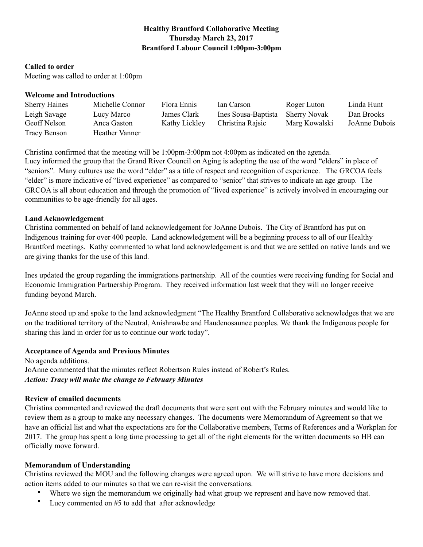## **Healthy Brantford Collaborative Meeting Thursday March 23, 2017 Brantford Labour Council 1:00pm-3:00pm**

#### **Called to order**

Meeting was called to order at 1:00pm

#### **Welcome and Introductions**

| <b>Sherry Haines</b> | Michelle Connor | Flora Ennis   | Ian Carson          | Roger Luton         | Linda Hunt    |
|----------------------|-----------------|---------------|---------------------|---------------------|---------------|
| Leigh Savage         | Lucy Marco      | James Clark   | Ines Sousa-Baptista | <b>Sherry Novak</b> | Dan Brooks    |
| Geoff Nelson         | Anca Gaston     | Kathy Lickley | Christina Rajsic    | Marg Kowalski       | JoAnne Dubois |
| Tracy Benson         | Heather Vanner  |               |                     |                     |               |

Christina confirmed that the meeting will be 1:00pm-3:00pm not 4:00pm as indicated on the agenda. Lucy informed the group that the Grand River Council on Aging is adopting the use of the word "elders" in place of "seniors". Many cultures use the word "elder" as a title of respect and recognition of experience. The GRCOA feels "elder" is more indicative of "lived experience" as compared to "senior" that strives to indicate an age group. The GRCOA is all about education and through the promotion of "lived experience" is actively involved in encouraging our communities to be age-friendly for all ages.

#### **Land Acknowledgement**

Christina commented on behalf of land acknowledgement for JoAnne Dubois. The City of Brantford has put on Indigenous training for over 400 people. Land acknowledgement will be a beginning process to all of our Healthy Brantford meetings. Kathy commented to what land acknowledgement is and that we are settled on native lands and we are giving thanks for the use of this land.

Ines updated the group regarding the immigrations partnership. All of the counties were receiving funding for Social and Economic Immigration Partnership Program. They received information last week that they will no longer receive funding beyond March.

JoAnne stood up and spoke to the land acknowledgment "The Healthy Brantford Collaborative acknowledges that we are on the traditional territory of the Neutral, Anishnawbe and Haudenosaunee peoples. We thank the Indigenous people for sharing this land in order for us to continue our work today".

#### **Acceptance of Agenda and Previous Minutes**

No agenda additions. JoAnne commented that the minutes reflect Robertson Rules instead of Robert's Rules. *Action: Tracy will make the change to February Minutes* 

#### **Review of emailed documents**

Christina commented and reviewed the draft documents that were sent out with the February minutes and would like to review them as a group to make any necessary changes. The documents were Memorandum of Agreement so that we have an official list and what the expectations are for the Collaborative members, Terms of References and a Workplan for 2017. The group has spent a long time processing to get all of the right elements for the written documents so HB can officially move forward.

#### **Memorandum of Understanding**

Christina reviewed the MOU and the following changes were agreed upon. We will strive to have more decisions and action items added to our minutes so that we can re-visit the conversations.

- Where we sign the memorandum we originally had what group we represent and have now removed that.
- Lucy commented on #5 to add that after acknowledge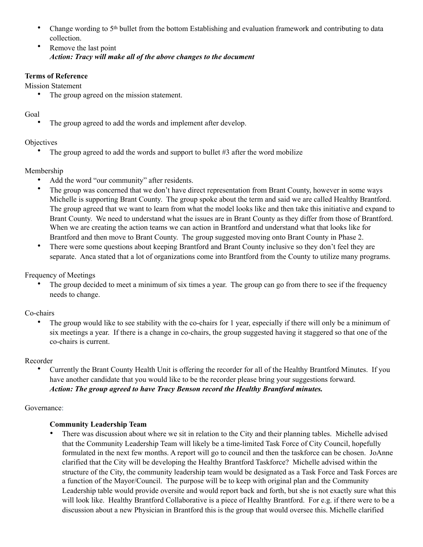- Change wording to 5<sup>th</sup> bullet from the bottom Establishing and evaluation framework and contributing to data collection.
- Remove the last point *Action: Tracy will make all of the above changes to the document*

### **Terms of Reference**

Mission Statement

• The group agreed on the mission statement.

## Goal

The group agreed to add the words and implement after develop.

## **Objectives**

The group agreed to add the words and support to bullet #3 after the word mobilize

## Membership

- Add the word "our community" after residents.
- The group was concerned that we don't have direct representation from Brant County, however in some ways Michelle is supporting Brant County. The group spoke about the term and said we are called Healthy Brantford. The group agreed that we want to learn from what the model looks like and then take this initiative and expand to Brant County. We need to understand what the issues are in Brant County as they differ from those of Brantford. When we are creating the action teams we can action in Brantford and understand what that looks like for Brantford and then move to Brant County. The group suggested moving onto Brant County in Phase 2.
- There were some questions about keeping Brantford and Brant County inclusive so they don't feel they are separate. Anca stated that a lot of organizations come into Brantford from the County to utilize many programs.

Frequency of Meetings

The group decided to meet a minimum of six times a year. The group can go from there to see if the frequency needs to change.

## Co-chairs

The group would like to see stability with the co-chairs for 1 year, especially if there will only be a minimum of six meetings a year. If there is a change in co-chairs, the group suggested having it staggered so that one of the co-chairs is current.

## Recorder

• Currently the Brant County Health Unit is offering the recorder for all of the Healthy Brantford Minutes. If you have another candidate that you would like to be the recorder please bring your suggestions forward. *Action: The group agreed to have Tracy Benson record the Healthy Brantford minutes.* 

## Governance:

# **Community Leadership Team**

• There was discussion about where we sit in relation to the City and their planning tables. Michelle advised that the Community Leadership Team will likely be a time-limited Task Force of City Council, hopefully formulated in the next few months. A report will go to council and then the taskforce can be chosen. JoAnne clarified that the City will be developing the Healthy Brantford Taskforce? Michelle advised within the structure of the City, the community leadership team would be designated as a Task Force and Task Forces are a function of the Mayor/Council. The purpose will be to keep with original plan and the Community Leadership table would provide oversite and would report back and forth, but she is not exactly sure what this will look like. Healthy Brantford Collaborative is a piece of Healthy Brantford. For e.g. if there were to be a discussion about a new Physician in Brantford this is the group that would oversee this. Michelle clarified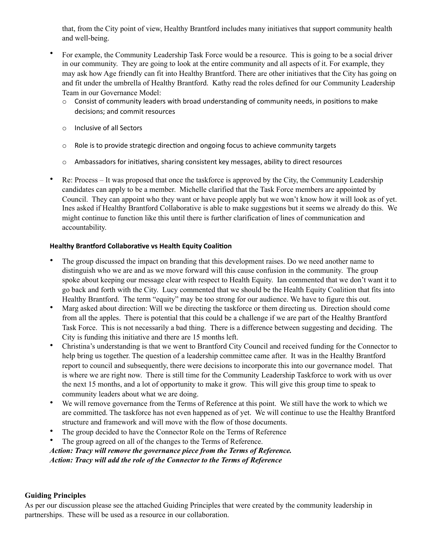that, from the City point of view, Healthy Brantford includes many initiatives that support community health and well-being.

- For example, the Community Leadership Task Force would be a resource. This is going to be a social driver in our community. They are going to look at the entire community and all aspects of it. For example, they may ask how Age friendly can fit into Healthy Brantford. There are other initiatives that the City has going on and fit under the umbrella of Healthy Brantford. Kathy read the roles defined for our Community Leadership Team in our Governance Model:
	- o Consist of community leaders with broad understanding of community needs, in positions to make decisions; and commit resources
	- o Inclusive of all Sectors
	- $\circ$  Role is to provide strategic direction and ongoing focus to achieve community targets
	- $\circ$  Ambassadors for initiatives, sharing consistent key messages, ability to direct resources
- Re: Process It was proposed that once the taskforce is approved by the City, the Community Leadership candidates can apply to be a member. Michelle clarified that the Task Force members are appointed by Council. They can appoint who they want or have people apply but we won't know how it will look as of yet. Ines asked if Healthy Brantford Collaborative is able to make suggestions but it seems we already do this. We might continue to function like this until there is further clarification of lines of communication and accountability.

### **Healthy Brantford Collaborative vs Health Equity Coalition**

- The group discussed the impact on branding that this development raises. Do we need another name to distinguish who we are and as we move forward will this cause confusion in the community. The group spoke about keeping our message clear with respect to Health Equity. Ian commented that we don't want it to go back and forth with the City. Lucy commented that we should be the Health Equity Coalition that fits into Healthy Brantford. The term "equity" may be too strong for our audience. We have to figure this out.
- Marg asked about direction: Will we be directing the taskforce or them directing us. Direction should come from all the apples. There is potential that this could be a challenge if we are part of the Healthy Brantford Task Force. This is not necessarily a bad thing. There is a difference between suggesting and deciding. The City is funding this initiative and there are 15 months left.
- Christina's understanding is that we went to Brantford City Council and received funding for the Connector to help bring us together. The question of a leadership committee came after. It was in the Healthy Brantford report to council and subsequently, there were decisions to incorporate this into our governance model. That is where we are right now. There is still time for the Community Leadership Taskforce to work with us over the next 15 months, and a lot of opportunity to make it grow. This will give this group time to speak to community leaders about what we are doing.
- We will remove governance from the Terms of Reference at this point. We still have the work to which we are committed. The taskforce has not even happened as of yet. We will continue to use the Healthy Brantford structure and framework and will move with the flow of those documents.
- The group decided to have the Connector Role on the Terms of Reference
- The group agreed on all of the changes to the Terms of Reference.

 *Action: Tracy will remove the governance piece from the Terms of Reference. Action: Tracy will add the role of the Connector to the Terms of Reference* 

#### **Guiding Principles**

As per our discussion please see the attached Guiding Principles that were created by the community leadership in partnerships. These will be used as a resource in our collaboration.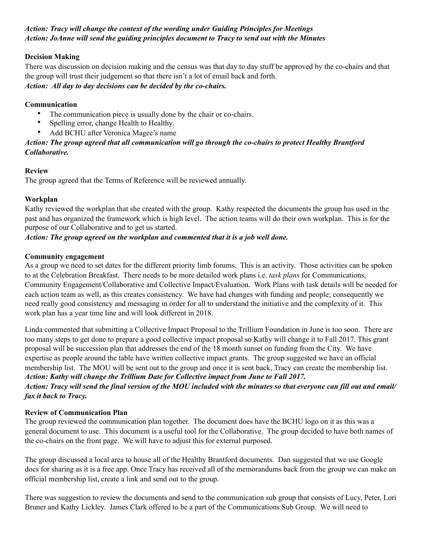### *Action: Tracy will change the context of the wording under Guiding Principles for Meetings Action: JoAnne will send the guiding principles document to Tracy to send out with the Minutes*

### **Decision Making**

There was discussion on decision making and the census was that day to day stuff be approved by the co-chairs and that the group will trust their judgement so that there isn't a lot of email back and forth. *Action: All day to day decisions can be decided by the co-chairs.* 

### **Communication**

- The communication piece is usually done by the chair or co-chairs.
- Spelling error, change Health to Healthy.
- Add BCHU after Veronica Magee's name

### *Action: The group agreed that all communication will go through the co-chairs to protect Healthy Brantford Collaborative.*

### **Review**

The group agreed that the Terms of Reference will be reviewed annually.

### **Workplan**

Kathy reviewed the workplan that she created with the group. Kathy respected the documents the group has used in the past and has organized the framework which is high level. The action teams will do their own workplan. This is for the purpose of our Collaborative and to get us started.

### *Action: The group agreed on the workplan and commented that it is a job well done.*

### **Community engagement**

As a group we need to set dates for the different priority limb forums. This is an activity. Those activities can be spoken to at the Celebration Breakfast. There needs to be more detailed work plans i.e. *task plans* for Communications, Community Engagement/Collaborative and Collective Impact/Evaluation. Work Plans with task details will be needed for each action team as well, as this creates consistency. We have had changes with funding and people; consequently we need really good consistency and messaging in order for all to understand the initiative and the complexity of it. This work plan has a year time line and will look different in 2018.

Linda commented that submitting a Collective Impact Proposal to the Trillium Foundation in June is too soon. There are too many steps to get done to prepare a good collective impact proposal so Kathy will change it to Fall 2017. This grant proposal will be succession plan that addresses the end of the 18 month sunset on funding from the City. We have expertise as people around the table have written collective impact grants. The group suggested we have an official membership list. The MOU will be sent out to the group and once it is sent back, Tracy can create the membership list. *Action: Kathy will change the Trillium Date for Collective impact from June to Fall 2017.* 

## *Action: Tracy will send the final version of the MOU included with the minutes so that everyone can fill out and email/ fax it back to Tracy.*

#### **Review of Communication Plan**

The group reviewed the communication plan together. The document does have the BCHU logo on it as this was a general document to use. This document is a useful tool for the Collaborative. The group decided to have both names of the co-chairs on the front page. We will have to adjust this for external purposed.

The group discussed a local area to house all of the Healthy Brantford documents. Dan suggested that we use Google docs for sharing as it is a free app. Once Tracy has received all of the memorandums back from the group we can make an official membership list, create a link and send out to the group.

There was suggestion to review the documents and send to the communication sub group that consists of Lucy, Peter, Lori Bruner and Kathy Lickley. James Clark offered to be a part of the Communications Sub Group. We will need to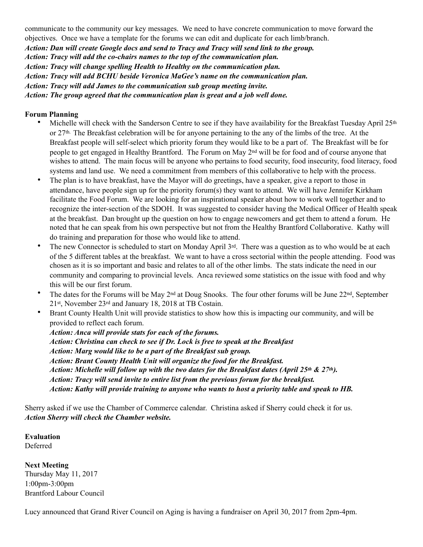communicate to the community our key messages. We need to have concrete communication to move forward the objectives. Once we have a template for the forums we can edit and duplicate for each limb/branch. *Action: Dan will create Google docs and send to Tracy and Tracy will send link to the group. Action: Tracy will add the co-chairs names to the top of the communication plan. Action: Tracy will change spelling Health to Healthy on the communication plan. Action: Tracy will add BCHU beside Veronica MaGee's name on the communication plan. Action: Tracy will add James to the communication sub group meeting invite. Action: The group agreed that the communication plan is great and a job well done.* 

#### **Forum Planning**

- Michelle will check with the Sanderson Centre to see if they have availability for the Breakfast Tuesday April 25<sup>th</sup> or 27th. The Breakfast celebration will be for anyone pertaining to the any of the limbs of the tree. At the Breakfast people will self-select which priority forum they would like to be a part of. The Breakfast will be for people to get engaged in Healthy Brantford. The Forum on May 2nd will be for food and of course anyone that wishes to attend. The main focus will be anyone who pertains to food security, food insecurity, food literacy, food systems and land use. We need a commitment from members of this collaborative to help with the process.
- The plan is to have breakfast, have the Mayor will do greetings, have a speaker, give a report to those in attendance, have people sign up for the priority forum(s) they want to attend. We will have Jennifer Kirkham facilitate the Food Forum. We are looking for an inspirational speaker about how to work well together and to recognize the inter-section of the SDOH. It was suggested to consider having the Medical Officer of Health speak at the breakfast. Dan brought up the question on how to engage newcomers and get them to attend a forum. He noted that he can speak from his own perspective but not from the Healthy Brantford Collaborative. Kathy will do training and preparation for those who would like to attend.
- The new Connector is scheduled to start on Monday April 3<sup>rd</sup>. There was a question as to who would be at each of the 5 different tables at the breakfast. We want to have a cross sectorial within the people attending. Food was chosen as it is so important and basic and relates to all of the other limbs. The stats indicate the need in our community and comparing to provincial levels. Anca reviewed some statistics on the issue with food and why this will be our first forum.
- The dates for the Forums will be May  $2^{nd}$  at Doug Snooks. The four other forums will be June  $22^{nd}$ , September 21st, November 23rd and January 18, 2018 at TB Costain.
- Brant County Health Unit will provide statistics to show how this is impacting our community, and will be provided to reflect each forum.

*Action: Anca will provide stats for each of the forums. Action: Christina can check to see if Dr. Lock is free to speak at the Breakfast Action: Marg would like to be a part of the Breakfast sub group. Action: Brant County Health Unit will organize the food for the Breakfast. Action: Michelle will follow up with the two dates for the Breakfast dates (April 25th & 27th). Action: Tracy will send invite to entire list from the previous forum for the breakfast. Action: Kathy will provide training to anyone who wants to host a priority table and speak to HB.* 

Sherry asked if we use the Chamber of Commerce calendar. Christina asked if Sherry could check it for us. *Action Sherry will check the Chamber website.* 

**Evaluation**  Deferred

**Next Meeting**  Thursday May 11, 2017 1:00pm-3:00pm Brantford Labour Council

Lucy announced that Grand River Council on Aging is having a fundraiser on April 30, 2017 from 2pm-4pm.